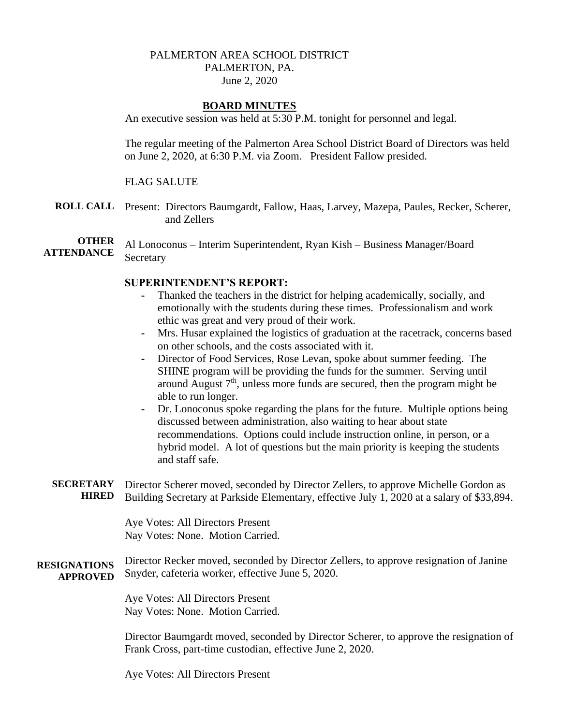# PALMERTON AREA SCHOOL DISTRICT PALMERTON, PA. June 2, 2020

### **BOARD MINUTES**

An executive session was held at 5:30 P.M. tonight for personnel and legal.

The regular meeting of the Palmerton Area School District Board of Directors was held on June 2, 2020, at 6:30 P.M. via Zoom. President Fallow presided.

### FLAG SALUTE

**ROLL CALL** Present: Directors Baumgardt, Fallow, Haas, Larvey, Mazepa, Paules, Recker, Scherer, and Zellers

**OTHER ATTENDANCE** Al Lonoconus – Interim Superintendent, Ryan Kish – Business Manager/Board **Secretary** 

### **SUPERINTENDENT'S REPORT:**

- **-** Thanked the teachers in the district for helping academically, socially, and emotionally with the students during these times. Professionalism and work ethic was great and very proud of their work.
- **-** Mrs. Husar explained the logistics of graduation at the racetrack, concerns based on other schools, and the costs associated with it.
- **-** Director of Food Services, Rose Levan, spoke about summer feeding. The SHINE program will be providing the funds for the summer. Serving until around August  $7<sup>th</sup>$ , unless more funds are secured, then the program might be able to run longer.
- **-** Dr. Lonoconus spoke regarding the plans for the future. Multiple options being discussed between administration, also waiting to hear about state recommendations. Options could include instruction online, in person, or a hybrid model. A lot of questions but the main priority is keeping the students and staff safe.
- **SECRETARY HIRED** Director Scherer moved, seconded by Director Zellers, to approve Michelle Gordon as Building Secretary at Parkside Elementary, effective July 1, 2020 at a salary of \$33,894.

Aye Votes: All Directors Present Nay Votes: None. Motion Carried.

**RESIGNATIONS APPROVED** Director Recker moved, seconded by Director Zellers, to approve resignation of Janine Snyder, cafeteria worker, effective June 5, 2020.

> Aye Votes: All Directors Present Nay Votes: None. Motion Carried.

Director Baumgardt moved, seconded by Director Scherer, to approve the resignation of Frank Cross, part-time custodian, effective June 2, 2020.

Aye Votes: All Directors Present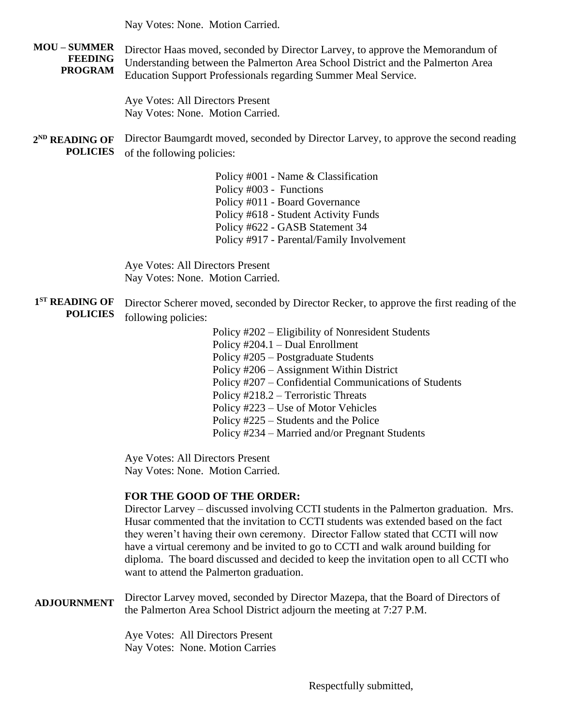Nay Votes: None. Motion Carried.

**MOU – SUMMER FEEDING PROGRAM** Director Haas moved, seconded by Director Larvey, to approve the Memorandum of Understanding between the Palmerton Area School District and the Palmerton Area Education Support Professionals regarding Summer Meal Service.

> Aye Votes: All Directors Present Nay Votes: None. Motion Carried.

**2 ND READING OF POLICIES** Director Baumgardt moved, seconded by Director Larvey, to approve the second reading of the following policies:

> Policy #001 - Name & Classification Policy #003 - Functions Policy #011 - Board Governance Policy #618 - Student Activity Funds Policy #622 - GASB Statement 34 Policy #917 - Parental/Family Involvement

Aye Votes: All Directors Present Nay Votes: None. Motion Carried.

- **1 ST READING OF POLICIES** Director Scherer moved, seconded by Director Recker, to approve the first reading of the following policies:
	- Policy #202 Eligibility of Nonresident Students Policy #204.1 – Dual Enrollment Policy #205 – Postgraduate Students Policy #206 – Assignment Within District Policy #207 – Confidential Communications of Students Policy #218.2 – Terroristic Threats Policy #223 – Use of Motor Vehicles Policy #225 – Students and the Police Policy #234 – Married and/or Pregnant Students

Aye Votes: All Directors Present Nay Votes: None. Motion Carried.

# **FOR THE GOOD OF THE ORDER:**

Director Larvey – discussed involving CCTI students in the Palmerton graduation. Mrs. Husar commented that the invitation to CCTI students was extended based on the fact they weren't having their own ceremony. Director Fallow stated that CCTI will now have a virtual ceremony and be invited to go to CCTI and walk around building for diploma. The board discussed and decided to keep the invitation open to all CCTI who want to attend the Palmerton graduation.

**ADJOURNMENT** Director Larvey moved, seconded by Director Mazepa, that the Board of Directors of the Palmerton Area School District adjourn the meeting at 7:27 P.M.

> Aye Votes: All Directors Present Nay Votes: None. Motion Carries

> > Respectfully submitted,